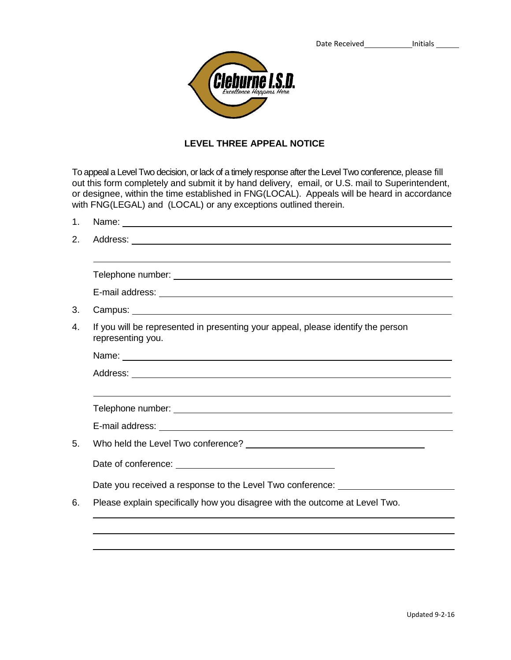

## **LEVEL THREE APPEAL NOTICE**

To appeal a Level Two decision, or lack of a timely response after the Level Two conference, please fill out this form completely and submit it by hand delivery, email, or U.S. mail to Superintendent, or designee, within the time established in FNG(LOCAL). Appeals will be heard in accordance with FNG(LEGAL) and (LOCAL) or any exceptions outlined therein.

| 1. |                                                                                                                                                                                                                                |
|----|--------------------------------------------------------------------------------------------------------------------------------------------------------------------------------------------------------------------------------|
| 2. |                                                                                                                                                                                                                                |
|    |                                                                                                                                                                                                                                |
|    | E-mail address: Note and the set of the set of the set of the set of the set of the set of the set of the set of the set of the set of the set of the set of the set of the set of the set of the set of the set of the set of |
| 3. |                                                                                                                                                                                                                                |
| 4. | If you will be represented in presenting your appeal, please identify the person<br>representing you.                                                                                                                          |
|    |                                                                                                                                                                                                                                |
|    |                                                                                                                                                                                                                                |
|    |                                                                                                                                                                                                                                |
|    |                                                                                                                                                                                                                                |
|    |                                                                                                                                                                                                                                |
| 5. |                                                                                                                                                                                                                                |
|    |                                                                                                                                                                                                                                |
|    | Date you received a response to the Level Two conference: ______________________                                                                                                                                               |
| 6. | Please explain specifically how you disagree with the outcome at Level Two.                                                                                                                                                    |
|    |                                                                                                                                                                                                                                |